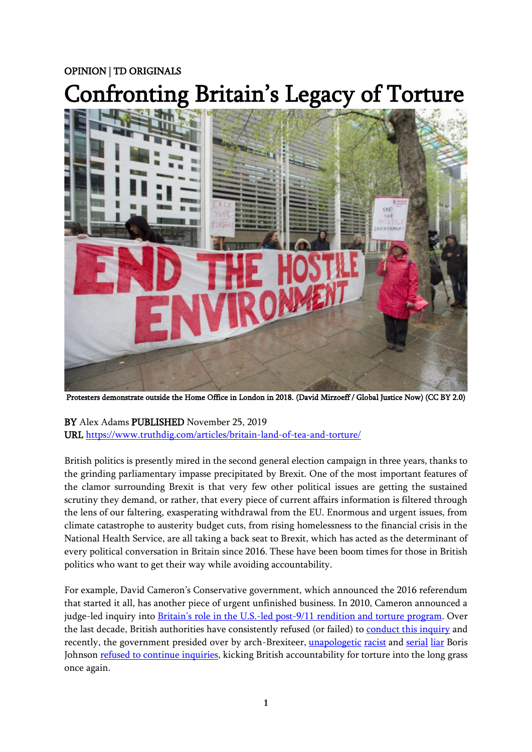## OPINION | TD ORIGINALS

# Confronting Britain's Legacy of Torture



Protesters demonstrate outside the Home Office in London in 2018. (David Mirzoeff / Global Justice Now) (CC BY 2.0)

BY Alex Adams PUBLISHED November 25, 2019 URL<https://www.truthdig.com/articles/britain-land-of-tea-and-torture/>

British politics is presently mired in the second general election campaign in three years, thanks to the grinding parliamentary impasse precipitated by Brexit. One of the most important features of the clamor surrounding Brexit is that very few other political issues are getting the sustained scrutiny they demand, or rather, that every piece of current affairs information is filtered through the lens of our faltering, exasperating withdrawal from the EU. Enormous and urgent issues, from climate catastrophe to austerity budget cuts, from rising homelessness to the financial crisis in the National Health Service, are all taking a back seat to Brexit, which has acted as the determinant of every political conversation in Britain since 2016. These have been boom times for those in British politics who want to get their way while avoiding accountability.

For example, David Cameron's Conservative government, which announced the 2016 referendum that started it all, has another piece of urgent unfinished business. In 2010, Cameron announced a judge-led inquiry into **Britain's role in the U.S.-led post-9/11 rendition and torture program**. Over the last decade, British authorities have consistently refused (or failed) to [conduct this inquiry](https://www.amnesty.org.uk/press-releases/uk-government-u-turn-torture-inquiry-branded-disgraceful) and recently, the government presided over by arch-Brexiteer, [unapologetic](https://www.theguardian.com/politics/2019/sep/04/boris-johnson-urged-to-apologise-for-muslim-women-letterboxes-article) [racist](https://www.businessinsider.com/boris-johnson-record-sexist-homophobic-and-racist-comments-bumboys-piccaninnies-2019-6?r=US&IR=T) and [serial](https://www.independent.co.uk/news/uk/politics/boris-johnson-lies-conservative-leader-candidate-list-times-banana-brexit-bus-a8929076.html) [liar](https://www.newstatesman.com/politics/uk/2019/09/we-know-boris-johnson-liar-it-s-his-enablers-who-are-most-culpable) Boris Johnson [refused to continue inquiries,](https://www.theguardian.com/commentisfree/2019/jul/28/the-guardian-view-on-rendition-and-torture-a-shame-that-britain-cannot-erase) kicking British accountability for torture into the long grass once again.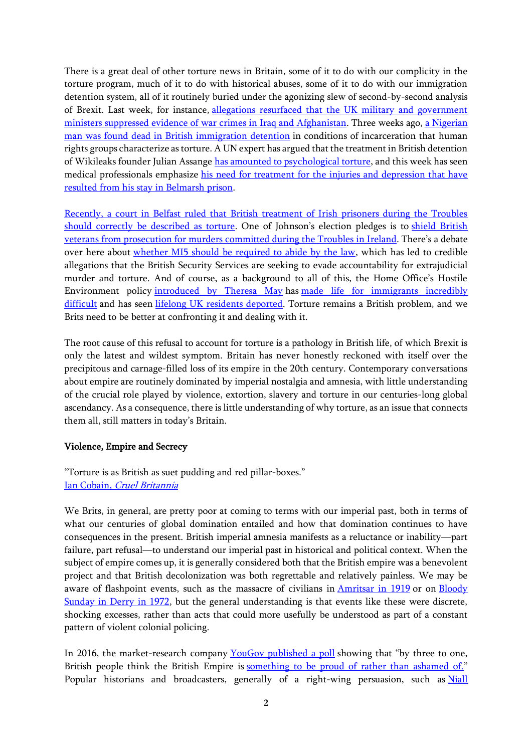There is a great deal of other torture news in Britain, some of it to do with our complicity in the torture program, much of it to do with historical abuses, some of it to do with our immigration detention system, all of it routinely buried under the agonizing slew of second-by-second analysis of Brexit. Last week, for instance, [allegations resurfaced that the UK military and government](https://www.middleeasteye.net/news/uk-ministers-and-military-accused-war-crimes-cover-iraq-and-afghanistan)  [ministers suppressed evidence of war crimes in Iraq and Afghanistan.](https://www.middleeasteye.net/news/uk-ministers-and-military-accused-war-crimes-cover-iraq-and-afghanistan) Three weeks ago, [a Nigerian](https://www.independent.co.uk/news/uk/home-news/nigerian-man-dead-detention-harmondsworth-immigration-removal-centre-home-office-a9103841.html)  [man was found dead in British immigration detention](https://www.independent.co.uk/news/uk/home-news/nigerian-man-dead-detention-harmondsworth-immigration-removal-centre-home-office-a9103841.html) in conditions of incarceration that human rights groups characterize as torture. A UN expert has argued that the treatment in British detention of Wikileaks founder Julian Assange [has amounted to psychological torture,](https://www.theguardian.com/media/2019/may/31/julian-assange-shows-psychological-torture-symptoms-says-un-expert) and this week has seen medical professionals emphasize [his need for treatment for the injuries and depression that have](https://www.cnbc.com/2019/11/25/julian-assange-doctors-say-wikileaks-founder-needs-medical-care-in-hospital.html)  [resulted from his stay in Belmarsh prison.](https://www.cnbc.com/2019/11/25/julian-assange-doctors-say-wikileaks-founder-needs-medical-care-in-hospital.html)

[Recently, a court in Belfast ruled that British treatment of Irish prisoners during the Troubles](https://www.rte.ie/news/courts/2019/0920/1077147-belfast-court-hooded-men/)  [should correctly be described as torture](https://www.rte.ie/news/courts/2019/0920/1077147-belfast-court-hooded-men/). One of Johnson's election pledges is to shield British [veterans from prosecution for murders committed during the Troubles in Ireland](https://politicshome.com/news/uk/political-parties/conservative-party/news/107887/boris-johnson-pledges-amend-human-rights). There's a debate over here about [whether MI5 should be required to abide by the law,](https://www.bbc.co.uk/sounds/play/m0009zbd?utm_content=buffer43622&utm_medium=social&utm_source=twitter.com&utm_campaign=buffer) which has led to credible allegations that the British Security Services are seeking to evade accountability for extrajudicial murder and torture. And of course, as a background to all of this, the Home Office's Hostile Environment policy [introduced by Theresa May](https://www.theguardian.com/uk-news/2018/sep/30/theresa-may-refuses-to-apologise-over-hostile-environment-scandal) has [made life for immigrants incredibly](https://www.ft.com/content/fd592a16-6c07-11e9-a9a5-351eeaef6d84)  [difficult](https://www.ft.com/content/fd592a16-6c07-11e9-a9a5-351eeaef6d84) and has seen [lifelong UK residents deported.](https://www.thelondoneconomic.com/news/theresa-may-we-can-deport-first-and-hear-appeals-later/19/04/) Torture remains a British problem, and we Brits need to be better at confronting it and dealing with it.

The root cause of this refusal to account for torture is a pathology in British life, of which Brexit is only the latest and wildest symptom. Britain has never honestly reckoned with itself over the precipitous and carnage-filled loss of its empire in the 20th century. Contemporary conversations about empire are routinely dominated by imperial nostalgia and amnesia, with little understanding of the crucial role played by violence, extortion, slavery and torture in our centuries-long global ascendancy. As a consequence, there is little understanding of why torture, as an issue that connects them all, still matters in today's Britain.

### Violence, Empire and Secrecy

"Torture is as British as suet pudding and red pillar-boxes." [Ian Cobain,](https://www.theguardian.com/books/2012/nov/23/cruel-britannia-ian-cobain-review) Cruel Britannia

We Brits, in general, are pretty poor at coming to terms with our imperial past, both in terms of what our centuries of global domination entailed and how that domination continues to have consequences in the present. British imperial amnesia manifests as a reluctance or inability—part failure, part refusal—to understand our imperial past in historical and political context. When the subject of empire comes up, it is generally considered both that the British empire was a benevolent project and that British decolonization was both regrettable and relatively painless. We may be aware of flashpoint events, such as the massacre of civilians in [Amritsar in 1919](https://www.theguardian.com/commentisfree/2019/apr/12/britain-amritsar-massacre-centenary-1919-india) or on Bloody [Sunday in Derry in 1972,](https://www.irishtimes.com/news/ireland/irish-news/explainer-what-happened-on-bloody-sunday-in-1972-1.3825614) but the general understanding is that events like these were discrete, shocking excesses, rather than acts that could more usefully be understood as part of a constant pattern of violent colonial policing.

In 2016, the market-research company [YouGov published a poll](https://www.theguardian.com/commentisfree/2016/jan/23/britain-empire-pride-poll) showing that "by three to one, British people think the British Empire is [something to be proud of rather than ashamed of.](https://yougov.co.uk/topics/politics/articles-reports/2014/07/26/britain-proud-its-empire)" Popular historians and broadcasters, generally of a right-wing persuasion, such as Niall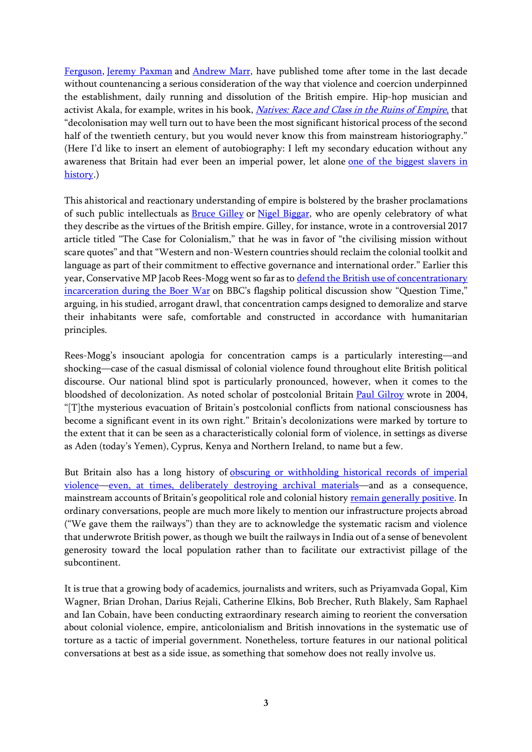[Ferguson,](http://www.niallferguson.com/journalism/history/why-we-ruled-the-world) [Jeremy Paxman](https://www.telegraph.co.uk/culture/tvandradio/9085936/Jeremy-Paxman-Our-empire-was-an-amazing-thing.html) and [Andrew Marr,](https://www.panmacmillan.com/authors/andrew-marr/a-history-of-modern-britain/9781509839667) have published tome after tome in the last decade without countenancing a serious consideration of the way that violence and coercion underpinned the establishment, daily running and dissolution of the British empire. Hip-hop musician and activist Akala, for example, writes in his book, *[Natives: Race and Class in the Ruins of Empire](https://www.theguardian.com/books/2018/may/24/natives-race-class-ruins-empire-akala-review)*, that "decolonisation may well turn out to have been the most significant historical process of the second half of the twentieth century, but you would never know this from mainstream historiography." (Here I'd like to insert an element of autobiography: I left my secondary education without any awareness that Britain had ever been an imperial power, let alone one of [the biggest slavers in](https://www.theguardian.com/world/2015/jul/12/british-history-slavery-buried-scale-revealed)  [history.](https://www.theguardian.com/world/2015/jul/12/british-history-slavery-buried-scale-revealed))

This ahistorical and reactionary understanding of empire is bolstered by the brasher proclamations of such public intellectuals as [Bruce Gilley](http://www.web.pdx.edu/~gilleyb/Colonialism.html) or [Nigel Biggar,](https://www.thetimes.co.uk/article/don-t-feel-guilty-about-our-colonial-history-ghvstdhmj) who are openly celebratory of what they describe as the virtues of the British empire. Gilley, for instance, wrote in a controversial 2017 article titled "The Case for Colonialism," that he was in favor of "the civilising mission without scare quotes" and that "Western and non-Western countries should reclaim the colonial toolkit and language as part of their commitment to effective governance and international order." Earlier this year, Conservative MP Jacob Rees-Mogg went so far as to defend the British use of concentrationary [incarceration during the Boer War](http://gladstonediaries.blogspot.com/2019/02/british-concentration-camps-response-to.html) on BBC's flagship political discussion show "Question Time," arguing, in his studied, arrogant drawl, that concentration camps designed to demoralize and starve their inhabitants were safe, comfortable and constructed in accordance with humanitarian principles.

Rees-Mogg's insouciant apologia for concentration camps is a particularly interesting—and shocking—case of the casual dismissal of colonial violence found throughout elite British political discourse. Our national blind spot is particularly pronounced, however, when it comes to the bloodshed of decolonization. As noted scholar of postcolonial Britain [Paul Gilroy](https://www.gold.ac.uk/honorands/paul-gilroy/) wrote in 2004, "[T]the mysterious evacuation of Britain's postcolonial conflicts from national consciousness has become a significant event in its own right." Britain's decolonizations were marked by torture to the extent that it can be seen as a characteristically colonial form of violence, in settings as diverse as Aden (today's Yemen), Cyprus, Kenya and Northern Ireland, to name but a few.

But Britain also has a long history of obscuring or withholding historical records of imperial [violence](https://www.belfasttelegraph.co.uk/news/northern-ireland/inquest-delays-embarrass-coroner-29986110.html)—[even, at times, deliberately destroying archival materials](https://www.theguardian.com/news/2016/aug/18/uncovering-truth-british-empire-caroline-elkins-mau-mau)—and as a consequence, mainstream accounts of Britain's geopolitical role and colonial history [remain generally positive.](https://www.jacobinmag.com/2016/11/british-empire-kenya-oman-ireland-state-secrecy) In ordinary conversations, people are much more likely to mention our infrastructure projects abroad ("We gave them the railways") than they are to acknowledge the systematic racism and violence that underwrote British power, as though we built the railways in India out of a sense of benevolent generosity toward the local population rather than to facilitate our extractivist pillage of the subcontinent.

It is true that a growing body of academics, journalists and writers, such as Priyamvada Gopal, Kim Wagner, Brian Drohan, Darius Rejali, Catherine Elkins, Bob Brecher, Ruth Blakely, Sam Raphael and Ian Cobain, have been conducting extraordinary research aiming to reorient the conversation about colonial violence, empire, anticolonialism and British innovations in the systematic use of torture as a tactic of imperial government. Nonetheless, torture features in our national political conversations at best as a side issue, as something that somehow does not really involve us.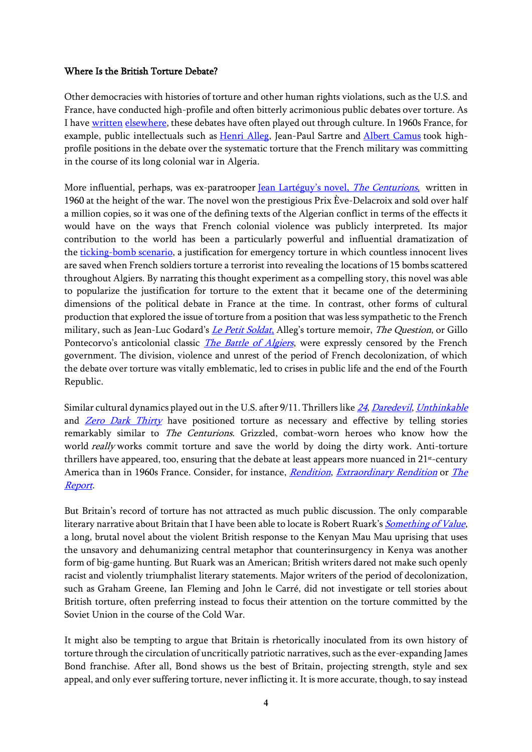#### Where Is the British Torture Debate?

Other democracies with histories of torture and other human rights violations, such as the U.S. and France, have conducted high-profile and often bitterly acrimonious public debates over torture. As I have [written](https://www.atadamswriting.com/political-torture-in-popular-cultur) [elsewhere,](https://www.atadamswriting.com/how-to-justify-torture) these debates have often played out through culture. In 1960s France, for example, public intellectuals such as [Henri Alleg,](https://ir.uiowa.edu/cgi/viewcontent.cgi?article=1023&context=iowa-historical-review) Jean-Paul Sartre and [Albert Camus](https://www.popmatters.com/171858-algerian-chronicles-by-albert-camus-2-2495753801.html) took highprofile positions in the debate over the systematic torture that the French military was committing in the course of its long colonial war in Algeria.

More influential, perhaps, was ex-paratrooper [Jean Lartéguy'](https://slate.com/culture/2011/01/jean-larteguy-s-the-centurions-it-s-coming-back-into-print.html)s novel, *The Centurions*, written in 1960 at the height of the war. The novel won the prestigious Prix Ève-Delacroix and sold over half a million copies, so it was one of the defining texts of the Algerian conflict in terms of the effects it would have on the ways that French colonial violence was publicly interpreted. Its major contribution to the world has been a particularly powerful and influential dramatization of the [ticking-bomb scenario,](https://www.atadamswriting.com/how-to-justify-torture) a justification for emergency torture in which countless innocent lives are saved when French soldiers torture a terrorist into revealing the locations of 15 bombs scattered throughout Algiers. By narrating this thought experiment as a compelling story, this novel was able to popularize the justification for torture to the extent that it became one of the determining dimensions of the political debate in France at the time. In contrast, other forms of cultural production that explored the issue of torture from a position that was less sympathetic to the French military, such as Jean-Luc Godard's *[Le Petit Soldat](https://www.youtube.com/watch?v=SS1qNnW3XF8)*, Alleg's torture memoir, *The Question*, or Gillo Pontecorvo's anticolonial classic *[The Battle of Algiers](https://www.youtube.com/watch?v=Tb-OBWU4qY4)*, were expressly censored by the French government. The division, violence and unrest of the period of French decolonization, of which the debate over torture was vitally emblematic, led to crises in public life and the end of the Fourth Republic.

Similar cultural dynamics played out in the U.S. after 9/11. Thrillers like [24](https://www.theguardian.com/media/2006/jan/10/usnews.comment), [Daredevil](https://chasemagnett.wordpress.com/2015/04/13/daredevil-torture-and-the-importance-of-context/), [Unthinkable](https://www.youtube.com/watch?v=EndOqeO7xOY) and *[Zero Dark Thirty](https://time.com/3627694/torture-report-zero-dark-thirty/)* have positioned torture as necessary and effective by telling stories remarkably similar to The Centurions. Grizzled, combat-worn heroes who know how the world *really* works commit torture and save the world by doing the dirty work. Anti-torture thrillers have appeared, too, ensuring that the debate at least appears more nuanced in  $21<sup>st</sup>$ -century America than in 1960s France. Consider, for instance, *[Rendition](https://www.youtube.com/watch?v=IaK-HKIdv1E), [Extraordinary Rendition](https://www.youtube.com/watch?v=VHMLFCxhyu8)* or *The* [Report](https://www.youtube.com/watch?v=VHmn9U3c0zA).

But Britain's record of torture has not attracted as much public discussion. The only comparable literary narrative about Britain that I have been able to locate is Robert Ruark's *[Something of Value](https://www.kirkusreviews.com/book-reviews/robert-ruark/something-of-value/)*, a long, brutal novel about the violent British response to the Kenyan Mau Mau uprising that uses the unsavory and dehumanizing central metaphor that counterinsurgency in Kenya was another form of big-game hunting. But Ruark was an American; British writers dared not make such openly racist and violently triumphalist literary statements. Major writers of the period of decolonization, such as Graham Greene, Ian Fleming and John le Carré, did not investigate or tell stories about British torture, often preferring instead to focus their attention on the torture committed by the Soviet Union in the course of the Cold War.

It might also be tempting to argue that Britain is rhetorically inoculated from its own history of torture through the circulation of uncritically patriotic narratives, such as the ever-expanding James Bond franchise. After all, Bond shows us the best of Britain, projecting strength, style and sex appeal, and only ever suffering torture, never inflicting it. It is more accurate, though, to say instead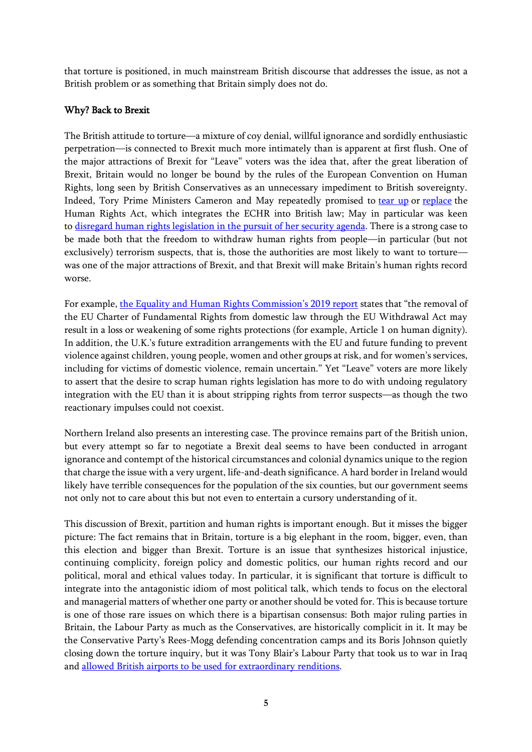that torture is positioned, in much mainstream British discourse that addresses the issue, as not a British problem or as something that Britain simply does not do.

### Why? Back to Brexit

The British attitude to torture—a mixture of coy denial, willful ignorance and sordidly enthusiastic perpetration—is connected to Brexit much more intimately than is apparent at first flush. One of the major attractions of Brexit for "Leave" voters was the idea that, after the great liberation of Brexit, Britain would no longer be bound by the rules of the European Convention on Human Rights, long seen by British Conservatives as an unnecessary impediment to British sovereignty. Indeed, Tory Prime Ministers Cameron and May repeatedly promised to [tear up](https://www.independent.co.uk/news/uk/politics/theresa-may-human-rights-act-repeal-brexit-echr-commons-parliament-conservatives-a8734886.html) or [replace](https://www.independent.co.uk/news/uk/politics/conservative-party-conference-cameron-announces-plans-to-scrap-human-rights-act-9767435.html) the Human Rights Act, which integrates the ECHR into British law; May in particular was keen to [disregard human rights legislation in the pursuit of her security agenda.](https://www.theguardian.com/politics/2017/jun/06/theresa-may-rip-up-human-rights-laws-impede-new-terror-legislation) There is a strong case to be made both that the freedom to withdraw human rights from people—in particular (but not exclusively) terrorism suspects, that is, those the authorities are most likely to want to torture was one of the major attractions of Brexit, and that Brexit will make Britain's human rights record worse.

For example, [the Equality and Human Right](https://www.equalityhumanrights.com/sites/default/files/convention-against-torture-in-the-uk-update-report-may-2019.pdf)s Commission's 2019 report states that "the removal of the EU Charter of Fundamental Rights from domestic law through the EU Withdrawal Act may result in a loss or weakening of some rights protections (for example, Article 1 on human dignity). In addition, the U.K.'s future extradition arrangements with the EU and future funding to prevent violence against children, young people, women and other groups at risk, and for women's services, including for victims of domestic violence, remain uncertain." Yet "Leave" voters are more likely to assert that the desire to scrap human rights legislation has more to do with undoing regulatory integration with the EU than it is about stripping rights from terror suspects—as though the two reactionary impulses could not coexist.

Northern Ireland also presents an interesting case. The province remains part of the British union, but every attempt so far to negotiate a Brexit deal seems to have been conducted in arrogant ignorance and contempt of the historical circumstances and colonial dynamics unique to the region that charge the issue with a very urgent, life-and-death significance. A hard border in Ireland would likely have terrible consequences for the population of the six counties, but our government seems not only not to care about this but not even to entertain a cursory understanding of it.

This discussion of Brexit, partition and human rights is important enough. But it misses the bigger picture: The fact remains that in Britain, torture is a big elephant in the room, bigger, even, than this election and bigger than Brexit. Torture is an issue that synthesizes historical injustice, continuing complicity, foreign policy and domestic politics, our human rights record and our political, moral and ethical values today. In particular, it is significant that torture is difficult to integrate into the antagonistic idiom of most political talk, which tends to focus on the electoral and managerial matters of whether one party or another should be voted for. This is because torture is one of those rare issues on which there is a bipartisan consensus: Both major ruling parties in Britain, the Labour Party as much as the Conservatives, are historically complicit in it. It may be the Conservative Party's Rees-Mogg defending concentration camps and its Boris Johnson quietly closing down the torture inquiry, but it was Tony Blair's Labour Party that took us to war in Iraq and [allowed British airports to be used](https://www.therenditionproject.org.uk/) for extraordinary renditions.